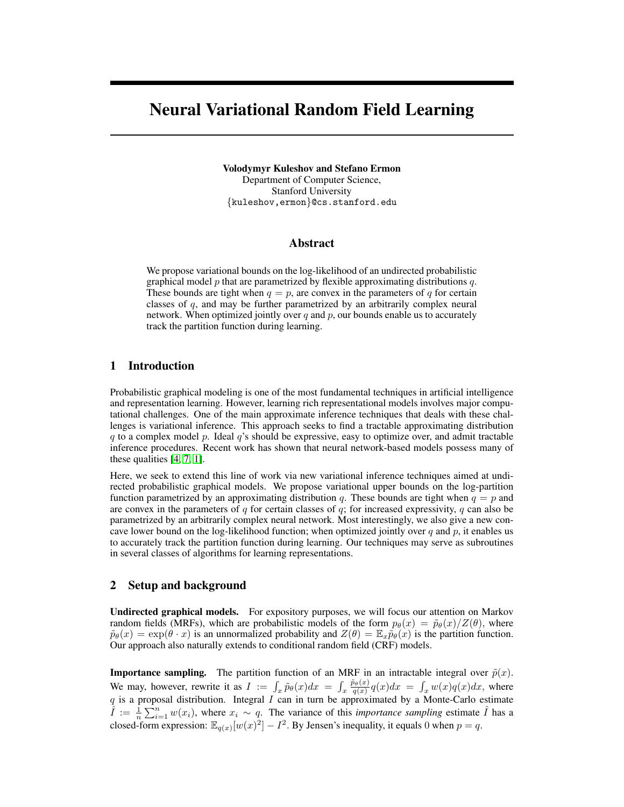# Neural Variational Random Field Learning

Volodymyr Kuleshov and Stefano Ermon

Department of Computer Science, Stanford University {kuleshov,ermon}@cs.stanford.edu

# Abstract

We propose variational bounds on the log-likelihood of an undirected probabilistic graphical model p that are parametrized by flexible approximating distributions q. These bounds are tight when  $q = p$ , are convex in the parameters of q for certain classes of q, and may be further parametrized by an arbitrarily complex neural network. When optimized jointly over  $q$  and  $p$ , our bounds enable us to accurately track the partition function during learning.

# 1 Introduction

Probabilistic graphical modeling is one of the most fundamental techniques in artificial intelligence and representation learning. However, learning rich representational models involves major computational challenges. One of the main approximate inference techniques that deals with these challenges is variational inference. This approach seeks to find a tractable approximating distribution  $q$  to a complex model  $p$ . Ideal  $q$ 's should be expressive, easy to optimize over, and admit tractable inference procedures. Recent work has shown that neural network-based models possess many of these qualities [\[4,](#page-3-0) [7,](#page-3-1) [1\]](#page-3-2).

Here, we seek to extend this line of work via new variational inference techniques aimed at undirected probabilistic graphical models. We propose variational upper bounds on the log-partition function parametrized by an approximating distribution q. These bounds are tight when  $q = p$  and are convex in the parameters of  $q$  for certain classes of  $q$ ; for increased expressivity,  $q$  can also be parametrized by an arbitrarily complex neural network. Most interestingly, we also give a new concave lower bound on the log-likelihood function; when optimized jointly over  $q$  and  $p$ , it enables us to accurately track the partition function during learning. Our techniques may serve as subroutines in several classes of algorithms for learning representations.

## 2 Setup and background

Undirected graphical models. For expository purposes, we will focus our attention on Markov random fields (MRFs), which are probabilistic models of the form  $p_{\theta}(x) = \tilde{p}_{\theta}(x)/Z(\theta)$ , where  $\tilde{p}_{\theta}(x) = \exp(\theta \cdot x)$  is an unnormalized probability and  $Z(\theta) = \mathbb{E}_{x} \tilde{p}_{\theta}(x)$  is the partition function. Our approach also naturally extends to conditional random field (CRF) models.

**Importance sampling.** The partition function of an MRF in an intractable integral over  $\tilde{p}(x)$ . We may, however, rewrite it as  $I := \int_x \tilde{p}_\theta(x) dx = \int_x \frac{\tilde{p}_\theta(x)}{q(x)} q(x) dx = \int_x w(x) q(x) dx$ , where q is a proposal distribution. Integral I can in turn be approximated by a Monte-Carlo estimate  $\hat{I} := \frac{1}{n} \sum_{i=1}^{n} w(x_i)$ , where  $x_i \sim q$ . The variance of this *importance sampling* estimate  $\hat{I}$  has a closed-form expression:  $\mathbb{E}_{q(x)}[w(x)^2] - I^2$ . By Jensen's inequality, it equals 0 when  $p = q$ .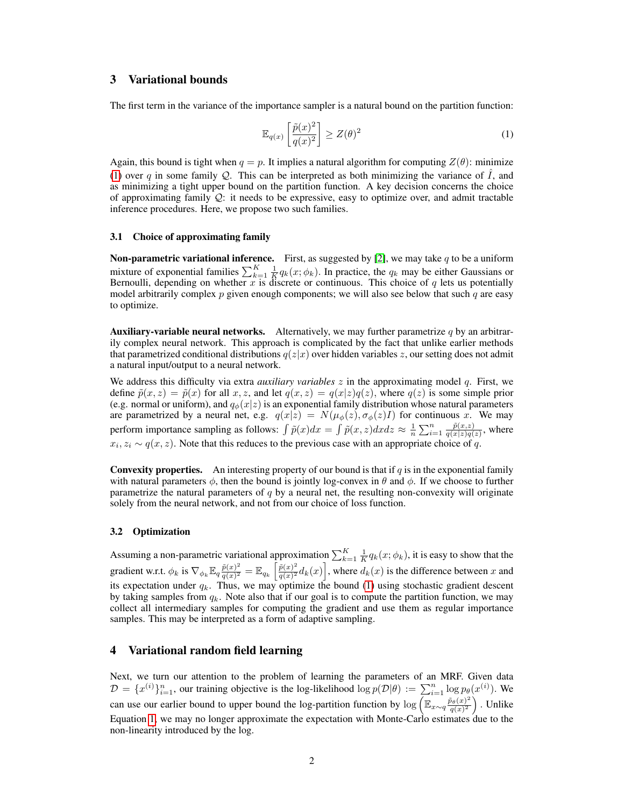# 3 Variational bounds

The first term in the variance of the importance sampler is a natural bound on the partition function:

<span id="page-1-0"></span>
$$
\mathbb{E}_{q(x)}\left[\frac{\tilde{p}(x)^2}{q(x)^2}\right] \ge Z(\theta)^2\tag{1}
$$

Again, this bound is tight when  $q = p$ . It implies a natural algorithm for computing  $Z(\theta)$ : minimize [\(1\)](#page-1-0) over q in some family  $Q$ . This can be interpreted as both minimizing the variance of  $\overline{I}$ , and as minimizing a tight upper bound on the partition function. A key decision concerns the choice of approximating family  $Q$ : it needs to be expressive, easy to optimize over, and admit tractable inference procedures. Here, we propose two such families.

## 3.1 Choice of approximating family

**Non-parametric variational inference.** First, as suggested by [\[2\]](#page-3-3), we may take  $q$  to be a uniform mixture of exponential families  $\sum_{k=1}^{K} \frac{1}{K} q_k(x; \phi_k)$ . In practice, the  $q_k$  may be either Gaussians or Bernoulli, depending on whether  $x$  is discrete or continuous. This choice of  $q$  lets us potentially model arbitrarily complex  $p$  given enough components; we will also see below that such  $q$  are easy to optimize.

**Auxiliary-variable neural networks.** Alternatively, we may further parametrize  $q$  by an arbitrarily complex neural network. This approach is complicated by the fact that unlike earlier methods that parametrized conditional distributions  $q(z|x)$  over hidden variables z, our setting does not admit a natural input/output to a neural network.

We address this difficulty via extra *auxiliary variables* z in the approximating model q. First, we define  $\tilde{p}(x, z) = \tilde{p}(x)$  for all  $x, z$ , and let  $q(x, z) = q(x|z)q(z)$ , where  $q(z)$  is some simple prior (e.g. normal or uniform), and  $q_{\phi}(x|z)$  is an exponential family distribution whose natural parameters are parametrized by a neural net, e.g.  $q(x|z) = N(\mu_{\phi}(z), \sigma_{\phi}(z)I)$  for continuous x. We may perform importance sampling as follows:  $\int \tilde{p}(x)dx = \int \tilde{p}(x, z)dx dz \approx \frac{1}{n}\sum_{i=1}^{n} \frac{\tilde{p}(x, z)}{q(x|z)q(x)}$  $\frac{p(x,z)}{q(x|z)q(z)}$ , where  $x_i, z_i \sim q(x, z)$ . Note that this reduces to the previous case with an appropriate choice of q.

**Convexity properties.** An interesting property of our bound is that if  $q$  is in the exponential family with natural parameters  $\phi$ , then the bound is jointly log-convex in  $\theta$  and  $\phi$ . If we choose to further parametrize the natural parameters of  $q$  by a neural net, the resulting non-convexity will originate solely from the neural network, and not from our choice of loss function.

#### 3.2 Optimization

Assuming a non-parametric variational approximation  $\sum_{k=1}^{K} \frac{1}{K} q_k(x; \phi_k)$ , it is easy to show that the gradient w.r.t.  $\phi_k$  is  $\nabla_{\phi_k} \mathbb{E}_q \frac{\tilde{p}(x)^2}{q(x)^2}$  $\frac{\tilde{p}(x)^2}{q(x)^2} = \mathbb{E}_{q_k} \left[ \frac{\tilde{p}(x)^2}{q(x)^2} \right]$  $\frac{\tilde{p}(x)^2}{q(x)^2}d_k(x)$ , where  $d_k(x)$  is the difference between x and its expectation under  $q_k$ . Thus, we may optimize the bound [\(1\)](#page-1-0) using stochastic gradient descent by taking samples from  $q_k$ . Note also that if our goal is to compute the partition function, we may collect all intermediary samples for computing the gradient and use them as regular importance samples. This may be interpreted as a form of adaptive sampling.

## 4 Variational random field learning

Next, we turn our attention to the problem of learning the parameters of an MRF. Given data  $\mathcal{D} = \{x^{(i)}\}_{i=1}^n$ , our training objective is the log-likelihood  $\log p(\mathcal{D}|\theta) := \sum_{i=1}^n \log p_\theta(x^{(i)})$ . We can use our earlier bound to upper bound the log-partition function by  $\log \left( \mathbb{E}_{x \sim q} \frac{\tilde{p}_{\theta}(x)^2}{q(x)^2} \right)$  $\frac{\tilde{\sigma}_{\theta}(x)^2}{q(x)^2}$ . Unlike Equation [1,](#page-1-0) we may no longer approximate the expectation with Monte-Carlo estimates due to the non-linearity introduced by the log.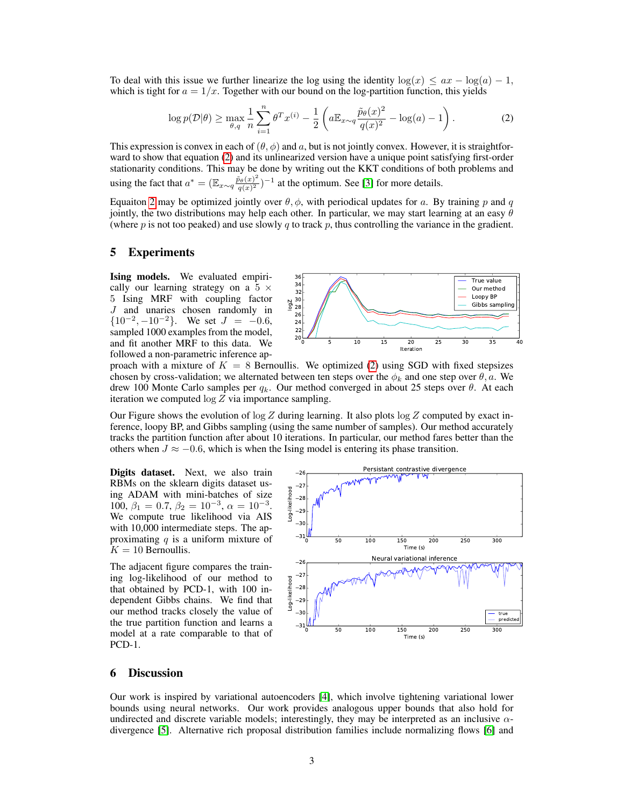To deal with this issue we further linearize the log using the identity  $\log(x) \leq ax - \log(a) - 1$ , which is tight for  $a = 1/x$ . Together with our bound on the log-partition function, this yields

$$
\log p(\mathcal{D}|\theta) \ge \max_{\theta, q} \frac{1}{n} \sum_{i=1}^{n} \theta^{T} x^{(i)} - \frac{1}{2} \left( a \mathbb{E}_{x \sim q} \frac{\tilde{p}_{\theta}(x)^{2}}{q(x)^{2}} - \log(a) - 1 \right). \tag{2}
$$

This expression is convex in each of  $(\theta, \phi)$  and a, but is not jointly convex. However, it is straightforward to show that equation [\(2\)](#page-2-0) and its unlinearized version have a unique point satisfying first-order stationarity conditions. This may be done by writing out the KKT conditions of both problems and using the fact that  $a^* = (\mathbb{E}_{x \sim q} \frac{\tilde{p}_{\theta}(x)^2}{q(x)^2})$  $\frac{\partial \theta(x)^2}{\partial q(x)^2}$   $^{-1}$  at the optimum. See [\[3\]](#page-3-4) for more details.

Equaiton [2](#page-2-0) may be optimized jointly over  $\theta$ ,  $\phi$ , with periodical updates for a. By training p and q jointly, the two distributions may help each other. In particular, we may start learning at an easy  $\theta$ (where  $p$  is not too peaked) and use slowly  $q$  to track  $p$ , thus controlling the variance in the gradient.

## 5 Experiments

Ising models. We evaluated empirically our learning strategy on a  $5 \times$ 5 Ising MRF with coupling factor J and unaries chosen randomly in  ${10^{-2}, -10^{-2}}$ . We set  $J = -0.6$ , sampled 1000 examples from the model, and fit another MRF to this data. We followed a non-parametric inference ap-

<span id="page-2-0"></span>

proach with a mixture of  $K = 8$  Bernoullis. We optimized [\(2\)](#page-2-0) using SGD with fixed stepsizes chosen by cross-validation; we alternated between ten steps over the  $\phi_k$  and one step over  $\theta$ , a. We drew 100 Monte Carlo samples per  $q_k$ . Our method converged in about 25 steps over  $\theta$ . At each iteration we computed  $log Z$  via importance sampling.

Our Figure shows the evolution of  $\log Z$  during learning. It also plots  $\log Z$  computed by exact inference, loopy BP, and Gibbs sampling (using the same number of samples). Our method accurately tracks the partition function after about 10 iterations. In particular, our method fares better than the others when  $J \approx -0.6$ , which is when the Ising model is entering its phase transition.

Digits dataset. Next, we also train RBMs on the sklearn digits dataset using ADAM with mini-batches of size 100,  $\beta_1 = 0.7, \beta_2 = 10^{-3}, \alpha = 10^{-3}.$ We compute true likelihood via AIS with 10,000 intermediate steps. The approximating  $q$  is a uniform mixture of  $K = 10$  Bernoullis.

The adjacent figure compares the training log-likelihood of our method to that obtained by PCD-1, with 100 independent Gibbs chains. We find that our method tracks closely the value of the true partition function and learns a model at a rate comparable to that of PCD-1.



# 6 Discussion

Our work is inspired by variational autoencoders [\[4\]](#page-3-0), which involve tightening variational lower bounds using neural networks. Our work provides analogous upper bounds that also hold for undirected and discrete variable models; interestingly, they may be interpreted as an inclusive  $\alpha$ divergence [\[5\]](#page-3-5). Alternative rich proposal distribution families include normalizing flows [\[6\]](#page-3-6) and